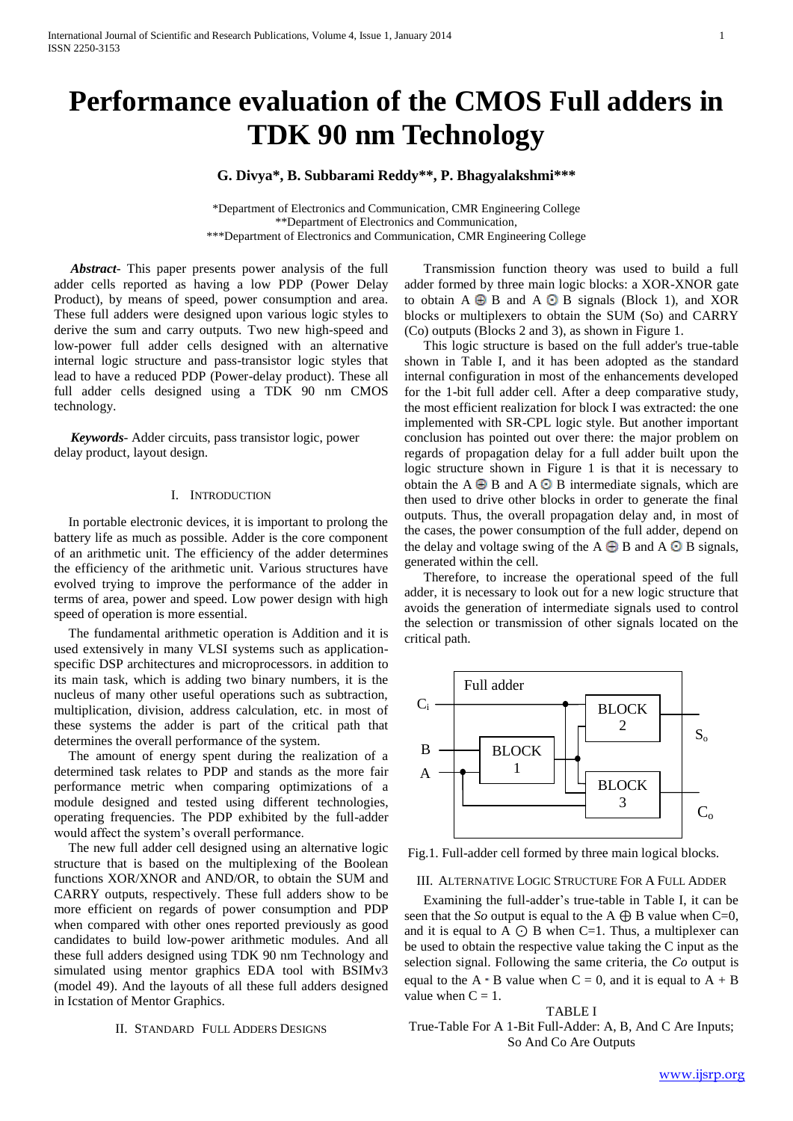# **Performance evaluation of the CMOS Full adders in TDK 90 nm Technology**

# **G. Divya\*, B. Subbarami Reddy\*\*, P. Bhagyalakshmi\*\*\***

\*Department of Electronics and Communication, CMR Engineering College \*\*Department of Electronics and Communication, \*\*\*Department of Electronics and Communication, CMR Engineering College

 *Abstract*- This paper presents power analysis of the full adder cells reported as having a low PDP (Power Delay Product), by means of speed, power consumption and area. These full adders were designed upon various logic styles to derive the sum and carry outputs. Two new high-speed and low-power full adder cells designed with an alternative internal logic structure and pass-transistor logic styles that lead to have a reduced PDP (Power-delay product). These all full adder cells designed using a TDK 90 nm CMOS technology.

 *Keywords*- Adder circuits, pass transistor logic, power delay product, layout design.

#### I. INTRODUCTION

In portable electronic devices, it is important to prolong the battery life as much as possible. Adder is the core component of an arithmetic unit. The efficiency of the adder determines the efficiency of the arithmetic unit. Various structures have evolved trying to improve the performance of the adder in terms of area, power and speed. Low power design with high speed of operation is more essential.

The fundamental arithmetic operation is Addition and it is used extensively in many VLSI systems such as applicationspecific DSP architectures and microprocessors. in addition to its main task, which is adding two binary numbers, it is the nucleus of many other useful operations such as subtraction, multiplication, division, address calculation, etc. in most of these systems the adder is part of the critical path that determines the overall performance of the system.

The amount of energy spent during the realization of a determined task relates to PDP and stands as the more fair performance metric when comparing optimizations of a module designed and tested using different technologies, operating frequencies. The PDP exhibited by the full-adder would affect the system's overall performance.

The new full adder cell designed using an alternative logic structure that is based on the multiplexing of the Boolean functions XOR/XNOR and AND/OR, to obtain the SUM and CARRY outputs, respectively. These full adders show to be more efficient on regards of power consumption and PDP when compared with other ones reported previously as good candidates to build low-power arithmetic modules. And all these full adders designed using TDK 90 nm Technology and simulated using mentor graphics EDA tool with BSIMv3 (model 49). And the layouts of all these full adders designed in Icstation of Mentor Graphics.

## II. STANDARD FULL ADDERS DESIGNS

Transmission function theory was used to build a full adder formed by three main logic blocks: a XOR-XNOR gate to obtain  $A \oplus B$  and  $A \odot B$  signals (Block 1), and XOR blocks or multiplexers to obtain the SUM (So) and CARRY (Co) outputs (Blocks 2 and 3), as shown in Figure 1.

This logic structure is based on the full adder's true-table shown in Table I, and it has been adopted as the standard internal configuration in most of the enhancements developed for the 1-bit full adder cell. After a deep comparative study, the most efficient realization for block I was extracted: the one implemented with SR-CPL logic style. But another important conclusion has pointed out over there: the major problem on regards of propagation delay for a full adder built upon the logic structure shown in Figure 1 is that it is necessary to obtain the A  $\oplus$  B and A  $\odot$  B intermediate signals, which are then used to drive other blocks in order to generate the final outputs. Thus, the overall propagation delay and, in most of the cases, the power consumption of the full adder, depend on the delay and voltage swing of the  $A \oplus B$  and  $A \odot B$  signals, generated within the cell.

Therefore, to increase the operational speed of the full adder, it is necessary to look out for a new logic structure that avoids the generation of intermediate signals used to control the selection or transmission of other signals located on the critical path.



Fig.1. Full-adder cell formed by three main logical blocks.

# III. ALTERNATIVE LOGIC STRUCTURE FOR A FULL ADDER

Examining the full-adder's true-table in Table I, it can be seen that the *So* output is equal to the A  $\oplus$  B value when C=0, and it is equal to A  $\odot$  B when C=1. Thus, a multiplexer can be used to obtain the respective value taking the C input as the selection signal. Following the same criteria, the *Co* output is equal to the  $A \cdot B$  value when  $C = 0$ , and it is equal to  $A + B$ value when  $C = 1$ .

#### TABLE I

# True-Table For A 1-Bit Full-Adder: A, B, And C Are Inputs; So And Co Are Outputs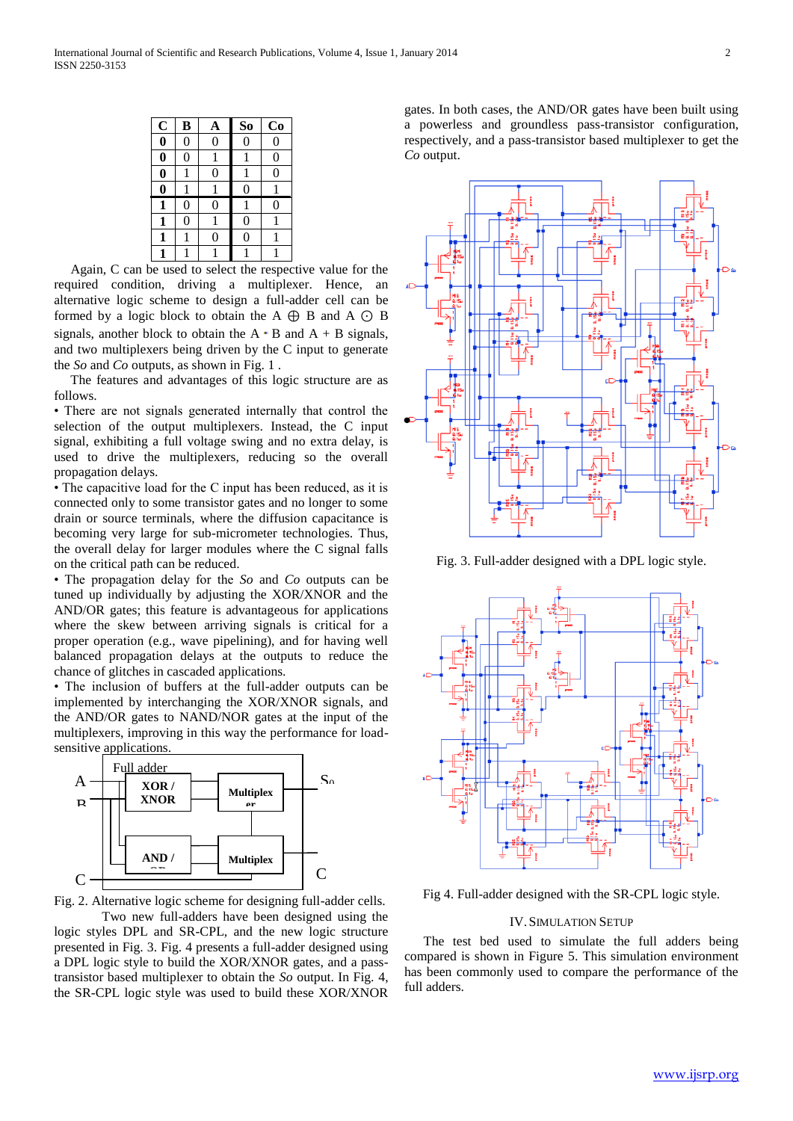| $\mathbf C$ | B | A | So               | Co             |  |
|-------------|---|---|------------------|----------------|--|
| 0           | 0 | 0 | $\overline{0}$   | $\overline{0}$ |  |
| $\bf{0}$    | 0 |   |                  | $\overline{0}$ |  |
| $\bf{0}$    | 1 | 0 |                  | $\overline{0}$ |  |
| 0           |   |   | 0                |                |  |
| 1           | 0 | 0 |                  | 0              |  |
| 1           | 0 |   | $\boldsymbol{0}$ |                |  |
| 1           |   | 0 | 0                |                |  |
|             |   |   |                  |                |  |

 Again, C can be used to select the respective value for the required condition, driving a multiplexer. Hence, an alternative logic scheme to design a full-adder cell can be formed by a logic block to obtain the  $A \oplus B$  and  $A \odot B$ signals, another block to obtain the  $A \cdot B$  and  $A + B$  signals, and two multiplexers being driven by the C input to generate the *So* and *Co* outputs, as shown in Fig. 1 .

 The features and advantages of this logic structure are as follows.

• There are not signals generated internally that control the selection of the output multiplexers. Instead, the C input signal, exhibiting a full voltage swing and no extra delay, is used to drive the multiplexers, reducing so the overall propagation delays.

• The capacitive load for the C input has been reduced, as it is connected only to some transistor gates and no longer to some drain or source terminals, where the diffusion capacitance is becoming very large for sub-micrometer technologies. Thus, the overall delay for larger modules where the C signal falls on the critical path can be reduced.

• The propagation delay for the *So* and *Co* outputs can be tuned up individually by adjusting the XOR/XNOR and the AND/OR gates; this feature is advantageous for applications where the skew between arriving signals is critical for a proper operation (e.g., wave pipelining), and for having well balanced propagation delays at the outputs to reduce the chance of glitches in cascaded applications.

• The inclusion of buffers at the full-adder outputs can be implemented by interchanging the XOR/XNOR signals, and the AND/OR gates to NAND/NOR gates at the input of the multiplexers, improving in this way the performance for loadsensitive applications.



Fig. 2. Alternative logic scheme for designing full-adder cells.

Two new full-adders have been designed using the logic styles DPL and SR-CPL, and the new logic structure presented in Fig. 3. Fig. 4 presents a full-adder designed using a DPL logic style to build the XOR/XNOR gates, and a passtransistor based multiplexer to obtain the *So* output. In Fig. 4, the SR-CPL logic style was used to build these XOR/XNOR

gates. In both cases, the AND/OR gates have been built using a powerless and groundless pass-transistor configuration, respectively, and a pass-transistor based multiplexer to get the *Co* output.



Fig. 3. Full-adder designed with a DPL logic style.



Fig 4. Full-adder designed with the SR-CPL logic style.

# IV.SIMULATION SETUP

The test bed used to simulate the full adders being compared is shown in Figure 5. This simulation environment has been commonly used to compare the performance of the full adders.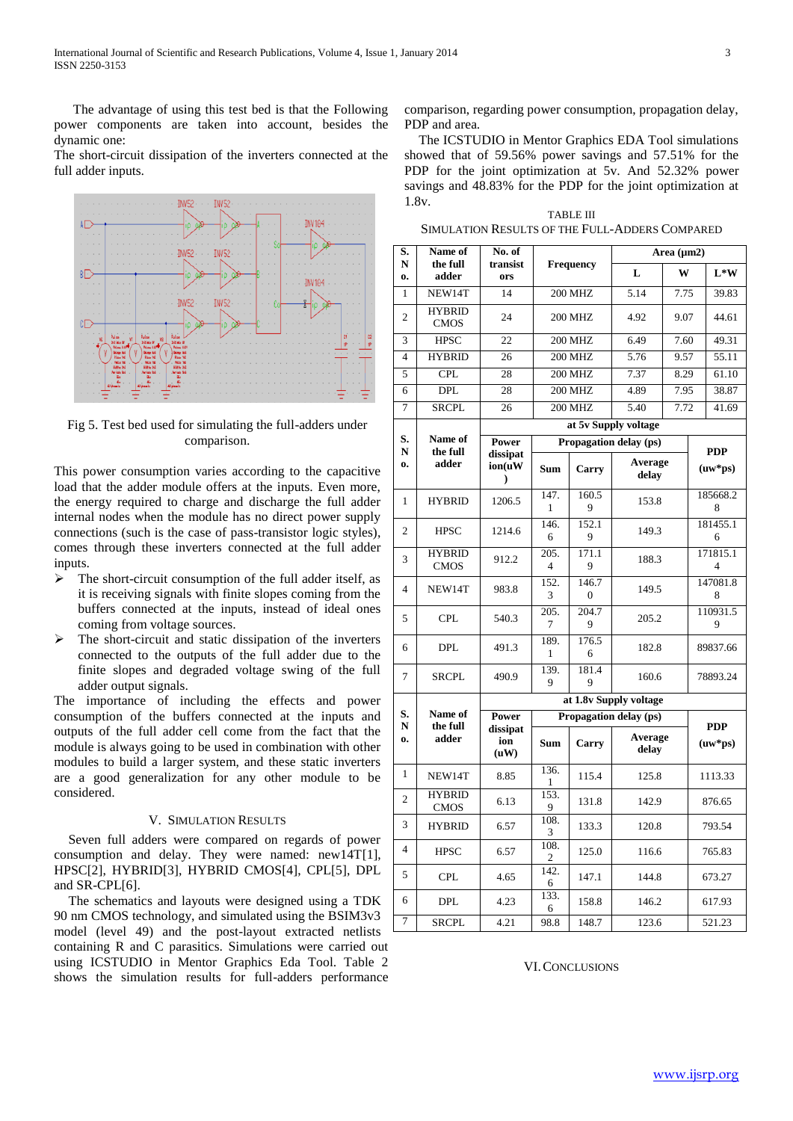The advantage of using this test bed is that the Following power components are taken into account, besides the dynamic one:

The short-circuit dissipation of the inverters connected at the full adder inputs.



Fig 5. Test bed used for simulating the full-adders under comparison.

This power consumption varies according to the capacitive load that the adder module offers at the inputs. Even more, the energy required to charge and discharge the full adder internal nodes when the module has no direct power supply connections (such is the case of pass-transistor logic styles), comes through these inverters connected at the full adder inputs.

- $\triangleright$  The short-circuit consumption of the full adder itself, as it is receiving signals with finite slopes coming from the buffers connected at the inputs, instead of ideal ones coming from voltage sources.
- $\triangleright$  The short-circuit and static dissipation of the inverters connected to the outputs of the full adder due to the finite slopes and degraded voltage swing of the full adder output signals.

The importance of including the effects and power consumption of the buffers connected at the inputs and outputs of the full adder cell come from the fact that the module is always going to be used in combination with other modules to build a larger system, and these static inverters are a good generalization for any other module to be considered.

# V. SIMULATION RESULTS

Seven full adders were compared on regards of power consumption and delay. They were named: new14T[1], HPSC[2], HYBRID[3], HYBRID CMOS[4], CPL[5], DPL and SR-CPL[6].

The schematics and layouts were designed using a TDK 90 nm CMOS technology, and simulated using the BSIM3v3 model (level 49) and the post-layout extracted netlists containing R and C parasitics. Simulations were carried out using ICSTUDIO in Mentor Graphics Eda Tool. Table 2 shows the simulation results for full-adders performance

comparison, regarding power consumption, propagation delay, PDP and area.

The ICSTUDIO in Mentor Graphics EDA Tool simulations showed that of 59.56% power savings and 57.51% for the PDP for the joint optimization at 5v. And 52.32% power savings and 48.83% for the PDP for the joint optimization at 1.8v.

TABLE III SIMULATION RESULTS OF THE FULL-ADDERS COMPARED

| S.                      | Name of                      | No. of                          |                                |                         | Area $(\mu m2)$  |        |               |               |  |  |  |
|-------------------------|------------------------------|---------------------------------|--------------------------------|-------------------------|------------------|--------|---------------|---------------|--|--|--|
| N<br>0.                 | the full<br>adder            | transist<br>ors                 | Frequency                      |                         | L                | W      |               | $L^*W$        |  |  |  |
| $\mathbf{1}$            | NEW14T                       | 14                              | <b>200 MHZ</b>                 |                         | 5.14             | 7.75   |               | 39.83         |  |  |  |
|                         | <b>HYBRID</b>                |                                 |                                |                         |                  |        |               |               |  |  |  |
| $\overline{c}$          | <b>CMOS</b>                  | 24                              | <b>200 MHZ</b>                 |                         | 4.92             | 9.07   |               | 44.61         |  |  |  |
| $\overline{\mathbf{3}}$ | <b>HPSC</b>                  | 22                              | <b>200 MHZ</b>                 |                         | 6.49             | 7.60   |               | 49.31         |  |  |  |
| $\overline{4}$          | <b>HYBRID</b>                | 26                              | <b>200 MHZ</b>                 |                         | 5.76             | 9.57   |               | 55.11         |  |  |  |
| 5                       | CPL                          | 28                              | <b>200 MHZ</b>                 |                         | 7.37             | 8.29   |               | 61.10         |  |  |  |
| 6                       | <b>DPL</b>                   | 28                              | <b>200 MHZ</b>                 |                         | 4.89             | 7.95   |               | 38.87         |  |  |  |
| $\overline{7}$          | <b>SRCPL</b>                 | 26                              | <b>200 MHZ</b><br>5.40<br>7.72 |                         |                  |        | 41.69         |               |  |  |  |
|                         | at 5v Supply voltage         |                                 |                                |                         |                  |        |               |               |  |  |  |
| S.<br>N                 | Name of<br>the full          | Power                           | Propagation delay (ps)         |                         |                  |        | <b>PDP</b>    |               |  |  |  |
| $\mathbf{0}$            | adder                        | dissipat<br>ion(uW<br>$\lambda$ | <b>Sum</b>                     | Carry                   | Average<br>delay |        | $(uw*ps)$     |               |  |  |  |
| $\mathbf{1}$            | <b>HYBRID</b>                | 1206.5                          | 147.<br>$\mathbf{1}$           | 160.5<br>9              | 153.8            |        |               | 185668.2<br>8 |  |  |  |
| $\overline{c}$          | <b>HPSC</b>                  | 1214.6                          | 146.<br>6                      | 152.1<br>9              | 149.3            |        | 181455.1<br>6 |               |  |  |  |
| 3                       | <b>HYBRID</b><br><b>CMOS</b> | 912.2                           | 205.<br>4                      | 171.1<br>9              | 188.3            |        | 171815.1<br>4 |               |  |  |  |
| 4                       | NEW14T                       | 983.8                           | 152.<br>3                      | 146.7<br>$\mathbf{0}$   | 149.5            |        | 147081.8<br>8 |               |  |  |  |
| 5                       | <b>CPL</b>                   | 540.3                           | 205.<br>7                      | $\overline{204.7}$<br>9 |                  | 205.2  |               | 110931.5<br>9 |  |  |  |
| 6                       | <b>DPL</b>                   | 491.3                           | 189.<br>1                      | 176.5<br>6              | 182.8            |        | 89837.66      |               |  |  |  |
| 7                       | <b>SRCPL</b>                 | 490.9                           | 139.<br>9                      | 181.4<br>9              | 160.6            |        | 78893.24      |               |  |  |  |
|                         |                              | at 1.8v Supply voltage          |                                |                         |                  |        |               |               |  |  |  |
| S.<br>N                 | Name of<br>the full          | Power<br>dissipat               | Propagation delay (ps)         |                         |                  |        |               | <b>PDP</b>    |  |  |  |
| 0.                      | adder                        | ion<br>(uW)                     | Sum                            | Carry                   | Average<br>delay |        | $(uw*ps)$     |               |  |  |  |
| $\mathbf{1}$            | NEW14T                       | 8.85                            | 136.<br>1                      | 115.4                   | 125.8            |        | 1113.33       |               |  |  |  |
| $\overline{c}$          | <b>HYBRID</b><br><b>CMOS</b> | 6.13                            | 153.<br>9                      | 131.8                   |                  | 142.9  |               | 876.65        |  |  |  |
| 3                       | <b>HYBRID</b>                | 6.57                            | 108.<br>3                      | 133.3                   | 120.8            |        | 793.54        |               |  |  |  |
| $\overline{4}$          | <b>HPSC</b>                  | 6.57                            | 108.<br>$\overline{c}$         | 125.0                   | 116.6            |        |               | 765.83        |  |  |  |
| 5                       | <b>CPL</b>                   | 4.65                            | 142.<br>6                      | 147.1                   | 144.8            |        |               | 673.27        |  |  |  |
| 6                       | <b>DPL</b>                   | 4.23                            | 133.<br>6                      | 158.8                   | 146.2            |        |               | 617.93        |  |  |  |
| 7                       | <b>SRCPL</b>                 | 4.21                            | 98.8                           | 148.7                   | 123.6            | 521.23 |               |               |  |  |  |

# VI.CONCLUSIONS